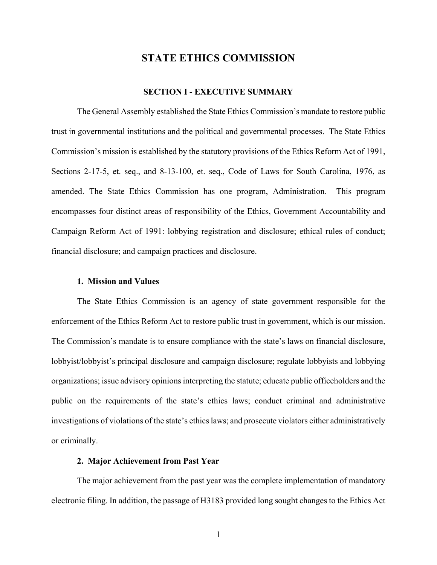# **STATE ETHICS COMMISSION**

# **SECTION I - EXECUTIVE SUMMARY**

The General Assembly established the State Ethics Commission's mandate to restore public trust in governmental institutions and the political and governmental processes. The State Ethics Commission's mission is established by the statutory provisions of the Ethics Reform Act of 1991, Sections 2-17-5, et. seq., and 8-13-100, et. seq., Code of Laws for South Carolina, 1976, as amended. The State Ethics Commission has one program, Administration. This program encompasses four distinct areas of responsibility of the Ethics, Government Accountability and Campaign Reform Act of 1991: lobbying registration and disclosure; ethical rules of conduct; financial disclosure; and campaign practices and disclosure.

#### **1. Mission and Values**

The State Ethics Commission is an agency of state government responsible for the enforcement of the Ethics Reform Act to restore public trust in government, which is our mission. The Commission's mandate is to ensure compliance with the state's laws on financial disclosure, lobbyist/lobbyist's principal disclosure and campaign disclosure; regulate lobbyists and lobbying organizations; issue advisory opinions interpreting the statute; educate public officeholders and the public on the requirements of the state's ethics laws; conduct criminal and administrative investigations of violations of the state's ethics laws; and prosecute violators either administratively or criminally.

#### **2. Major Achievement from Past Year**

The major achievement from the past year was the complete implementation of mandatory electronic filing. In addition, the passage of H3183 provided long sought changes to the Ethics Act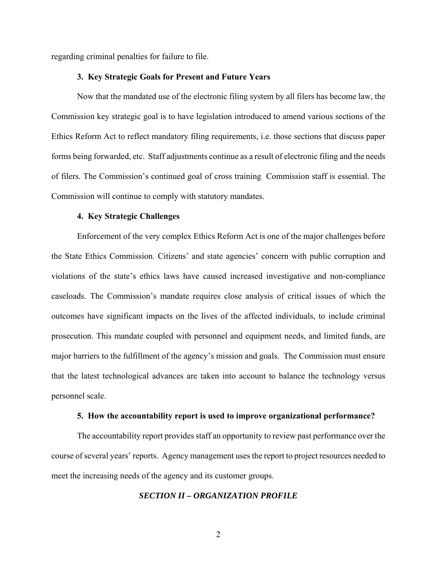regarding criminal penalties for failure to file.

#### **3. Key Strategic Goals for Present and Future Years**

Now that the mandated use of the electronic filing system by all filers has become law, the Commission key strategic goal is to have legislation introduced to amend various sections of the Ethics Reform Act to reflect mandatory filing requirements, i.e. those sections that discuss paper forms being forwarded, etc. Staff adjustments continue as a result of electronic filing and the needs of filers. The Commission's continued goal of cross training Commission staff is essential. The Commission will continue to comply with statutory mandates.

#### **4. Key Strategic Challenges**

Enforcement of the very complex Ethics Reform Act is one of the major challenges before the State Ethics Commission. Citizens' and state agencies' concern with public corruption and violations of the state's ethics laws have caused increased investigative and non-compliance caseloads. The Commission's mandate requires close analysis of critical issues of which the outcomes have significant impacts on the lives of the affected individuals, to include criminal prosecution. This mandate coupled with personnel and equipment needs, and limited funds, are major barriers to the fulfillment of the agency's mission and goals. The Commission must ensure that the latest technological advances are taken into account to balance the technology versus personnel scale.

#### **5. How the accountability report is used to improve organizational performance?**

The accountability report provides staff an opportunity to review past performance over the course of several years' reports. Agency management uses the report to project resources needed to meet the increasing needs of the agency and its customer groups.

# *SECTION II – ORGANIZATION PROFILE*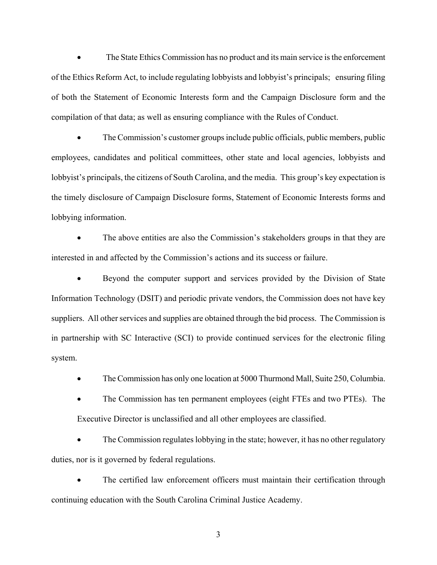The State Ethics Commission has no product and its main service is the enforcement of the Ethics Reform Act, to include regulating lobbyists and lobbyist's principals; ensuring filing of both the Statement of Economic Interests form and the Campaign Disclosure form and the compilation of that data; as well as ensuring compliance with the Rules of Conduct.

• The Commission's customer groups include public officials, public members, public employees, candidates and political committees, other state and local agencies, lobbyists and lobbyist's principals, the citizens of South Carolina, and the media. This group's key expectation is the timely disclosure of Campaign Disclosure forms, Statement of Economic Interests forms and lobbying information.

 The above entities are also the Commission's stakeholders groups in that they are interested in and affected by the Commission's actions and its success or failure.

 Beyond the computer support and services provided by the Division of State Information Technology (DSIT) and periodic private vendors, the Commission does not have key suppliers. All other services and supplies are obtained through the bid process. The Commission is in partnership with SC Interactive (SCI) to provide continued services for the electronic filing system.

The Commission has only one location at 5000 Thurmond Mall, Suite 250, Columbia.

 The Commission has ten permanent employees (eight FTEs and two PTEs). The Executive Director is unclassified and all other employees are classified.

 The Commission regulates lobbying in the state; however, it has no other regulatory duties, nor is it governed by federal regulations.

 The certified law enforcement officers must maintain their certification through continuing education with the South Carolina Criminal Justice Academy.

3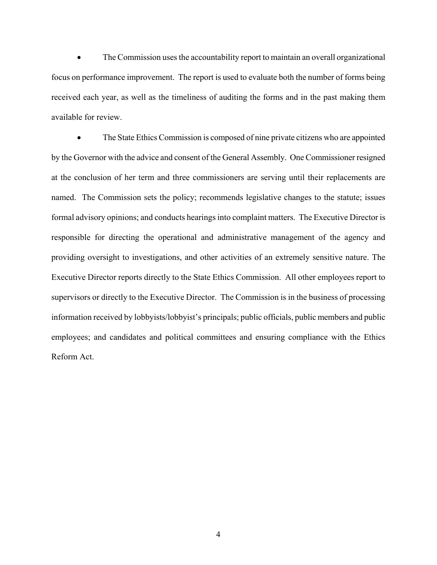The Commission uses the accountability report to maintain an overall organizational focus on performance improvement. The report is used to evaluate both the number of forms being received each year, as well as the timeliness of auditing the forms and in the past making them available for review.

• The State Ethics Commission is composed of nine private citizens who are appointed by the Governor with the advice and consent of the General Assembly. One Commissioner resigned at the conclusion of her term and three commissioners are serving until their replacements are named. The Commission sets the policy; recommends legislative changes to the statute; issues formal advisory opinions; and conducts hearings into complaint matters. The Executive Director is responsible for directing the operational and administrative management of the agency and providing oversight to investigations, and other activities of an extremely sensitive nature. The Executive Director reports directly to the State Ethics Commission. All other employees report to supervisors or directly to the Executive Director. The Commission is in the business of processing information received by lobbyists/lobbyist's principals; public officials, public members and public employees; and candidates and political committees and ensuring compliance with the Ethics Reform Act.

4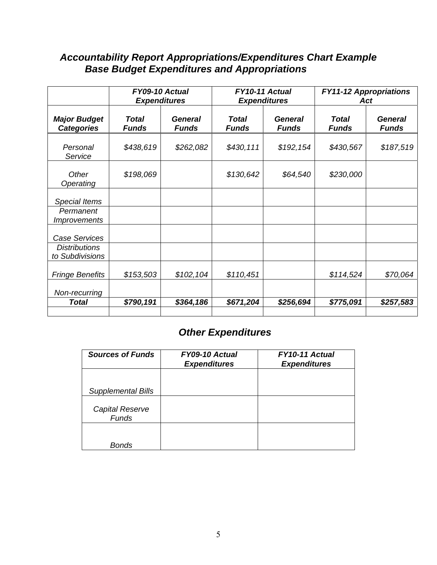# *Accountability Report Appropriations/Expenditures Chart Example Base Budget Expenditures and Appropriations*

|                                                                 | FY09-10 Actual<br><b>Expenditures</b> |                                |                       | FY10-11 Actual<br><b>Expenditures</b> | <b>FY11-12 Appropriations</b><br>Act |                                |  |
|-----------------------------------------------------------------|---------------------------------------|--------------------------------|-----------------------|---------------------------------------|--------------------------------------|--------------------------------|--|
| <b>Major Budget</b><br><b>Categories</b>                        | <b>Total</b><br><b>Funds</b>          | <b>General</b><br><b>Funds</b> | Total<br><b>Funds</b> | <b>General</b><br><b>Funds</b>        | Total<br><b>Funds</b>                | <b>General</b><br><b>Funds</b> |  |
| Personal<br>Service                                             | \$438,619                             | \$262,082                      | \$430,111             | \$192,154                             | \$430,567                            | \$187,519                      |  |
| Other<br>Operating                                              | \$198,069                             |                                | \$130,642             | \$64,540                              | \$230,000                            |                                |  |
| <b>Special Items</b>                                            |                                       |                                |                       |                                       |                                      |                                |  |
| Permanent<br><i><b>Improvements</b></i>                         |                                       |                                |                       |                                       |                                      |                                |  |
| <b>Case Services</b><br><b>Distributions</b><br>to Subdivisions |                                       |                                |                       |                                       |                                      |                                |  |
| <b>Fringe Benefits</b>                                          | \$153,503                             | \$102,104                      | \$110,451             |                                       | \$114,524                            | \$70,064                       |  |
| Non-recurring<br><b>Total</b>                                   | \$790,191                             | \$364,186                      | \$671,204             | \$256,694                             | \$775,091                            | \$257,583                      |  |

# *Other Expenditures*

| <b>Sources of Funds</b>         | FY09-10 Actual<br><b>Expenditures</b> | FY10-11 Actual<br><b>Expenditures</b> |
|---------------------------------|---------------------------------------|---------------------------------------|
|                                 |                                       |                                       |
| <b>Supplemental Bills</b>       |                                       |                                       |
| Capital Reserve<br><b>Funds</b> |                                       |                                       |
| Bonds                           |                                       |                                       |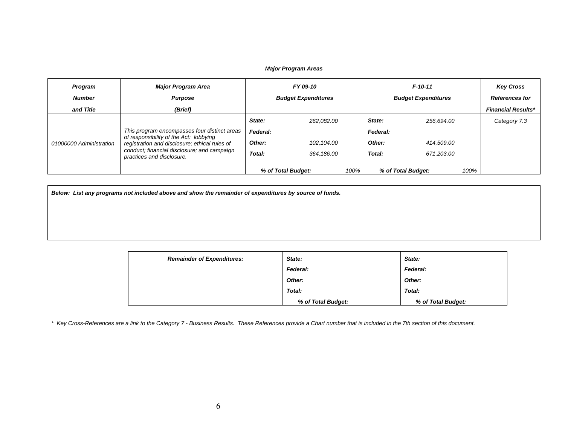#### *Major Program Areas*

| Program<br><b>Number</b> | <b>Major Program Area</b><br><b>Purpose</b>                                                                                                                                                                         | FY 09-10<br><b>Budget Expenditures</b> |                    |      | $F-10-11$<br><b>Budget Expenditures</b> | <b>Key Cross</b><br><b>References for</b> |                           |
|--------------------------|---------------------------------------------------------------------------------------------------------------------------------------------------------------------------------------------------------------------|----------------------------------------|--------------------|------|-----------------------------------------|-------------------------------------------|---------------------------|
| and Title                | (Brief)                                                                                                                                                                                                             |                                        |                    |      |                                         |                                           | <b>Financial Results*</b> |
| 01000000 Administration  |                                                                                                                                                                                                                     | State:                                 | 262.082.00         |      | State:                                  | 256.694.00                                | Category 7.3              |
|                          | This program encompasses four distinct areas<br>of responsibility of the Act: lobbying<br>registration and disclosure; ethical rules of<br>conduct; financial disclosure; and campaign<br>practices and disclosure. | Federal:                               |                    |      | Federal:                                |                                           |                           |
|                          |                                                                                                                                                                                                                     | Other:                                 | 102.104.00         |      | Other:                                  | 414.509.00                                |                           |
|                          |                                                                                                                                                                                                                     | Total:                                 | 364.186.00         |      | Total:                                  | 671.203.00                                |                           |
|                          |                                                                                                                                                                                                                     |                                        | % of Total Budget: | 100% |                                         | 100%<br>% of Total Budget:                |                           |

*Below: List any programs not included above and show the remainder of expenditures by source of funds.* 

| <b>Remainder of Expenditures:</b> | State:             | State:             |
|-----------------------------------|--------------------|--------------------|
|                                   | Federal:           | Federal:           |
|                                   | Other:             | Other:             |
|                                   | Total:             | Total:             |
|                                   | % of Total Budget: | % of Total Budget: |

*\* Key Cross-References are a link to the Category 7 - Business Results. These References provide a Chart number that is included in the 7th section of this document.*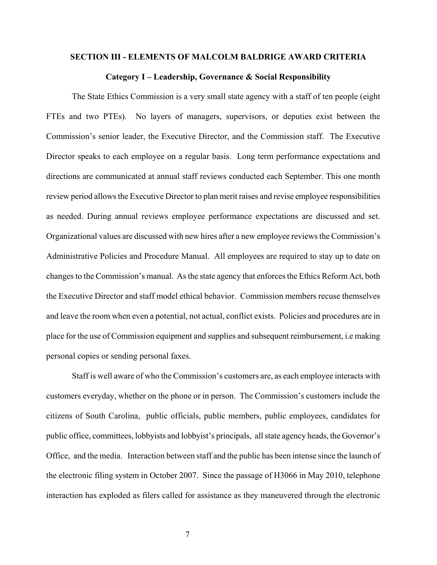#### **SECTION III - ELEMENTS OF MALCOLM BALDRIGE AWARD CRITERIA**

#### **Category I – Leadership, Governance & Social Responsibility**

The State Ethics Commission is a very small state agency with a staff of ten people (eight FTEs and two PTEs). No layers of managers, supervisors, or deputies exist between the Commission's senior leader, the Executive Director, and the Commission staff. The Executive Director speaks to each employee on a regular basis. Long term performance expectations and directions are communicated at annual staff reviews conducted each September. This one month review period allows the Executive Director to plan merit raises and revise employee responsibilities as needed. During annual reviews employee performance expectations are discussed and set. Organizational values are discussed with new hires after a new employee reviews the Commission's Administrative Policies and Procedure Manual. All employees are required to stay up to date on changes to the Commission's manual. As the state agency that enforces the Ethics Reform Act, both the Executive Director and staff model ethical behavior. Commission members recuse themselves and leave the room when even a potential, not actual, conflict exists. Policies and procedures are in place for the use of Commission equipment and supplies and subsequent reimbursement, i.e making personal copies or sending personal faxes.

Staff is well aware of who the Commission's customers are, as each employee interacts with customers everyday, whether on the phone or in person. The Commission's customers include the citizens of South Carolina, public officials, public members, public employees, candidates for public office, committees, lobbyists and lobbyist's principals, all state agency heads, the Governor's Office, and the media. Interaction between staff and the public has been intense since the launch of the electronic filing system in October 2007. Since the passage of H3066 in May 2010, telephone interaction has exploded as filers called for assistance as they maneuvered through the electronic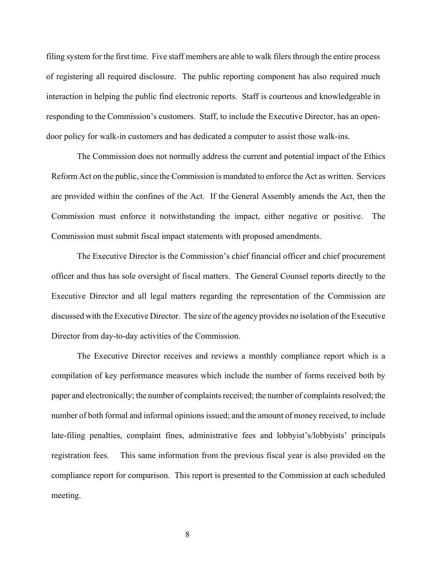filing system for the first time. Five staff members are able to walk filers through the entire process of registering all required disclosure. The public reporting component has also required much interaction in helping the public find electronic reports. Staff is courteous and knowledgeable in responding to the Commission's customers. Staff, to include the Executive Director, has an opendoor policy for walk-in customers and has dedicated a computer to assist those walk-ins.

The Commission does not normally address the current and potential impact of the Ethics Reform Act on the public, since the Commission is mandated to enforce the Act as written. Services are provided within the confines of the Act. If the General Assembly amends the Act, then the Commission must enforce it notwithstanding the impact, either negative or positive. The Commission must submit fiscal impact statements with proposed amendments.

The Executive Director is the Commission's chief financial officer and chief procurement officer and thus has sole oversight of fiscal matters. The General Counsel reports directly to the Executive Director and all legal matters regarding the representation of the Commission are discussed with the Executive Director. The size of the agency provides no isolation of the Executive Director from day-to-day activities of the Commission.

The Executive Director receives and reviews a monthly compliance report which is a compilation of key performance measures which include the number of forms received both by paper and electronically; the number of complaints received; the number of complaints resolved; the number of both formal and informal opinions issued; and the amount of money received, to include late-filing penalties, complaint fines, administrative fees and lobbyist's/lobbyists' principals registration fees. This same information from the previous fiscal year is also provided on the compliance report for comparison. This report is presented to the Commission at each scheduled meeting.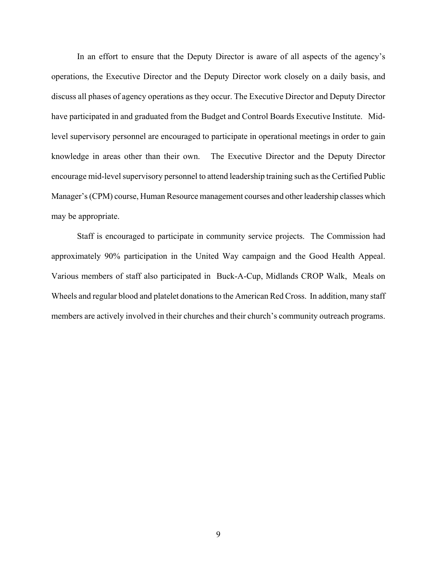In an effort to ensure that the Deputy Director is aware of all aspects of the agency's operations, the Executive Director and the Deputy Director work closely on a daily basis, and discuss all phases of agency operations as they occur. The Executive Director and Deputy Director have participated in and graduated from the Budget and Control Boards Executive Institute. Midlevel supervisory personnel are encouraged to participate in operational meetings in order to gain knowledge in areas other than their own. The Executive Director and the Deputy Director encourage mid-level supervisory personnel to attend leadership training such as the Certified Public Manager's (CPM) course, Human Resource management courses and other leadership classes which may be appropriate.

Staff is encouraged to participate in community service projects. The Commission had approximately 90% participation in the United Way campaign and the Good Health Appeal. Various members of staff also participated in Buck-A-Cup, Midlands CROP Walk, Meals on Wheels and regular blood and platelet donations to the American Red Cross. In addition, many staff members are actively involved in their churches and their church's community outreach programs.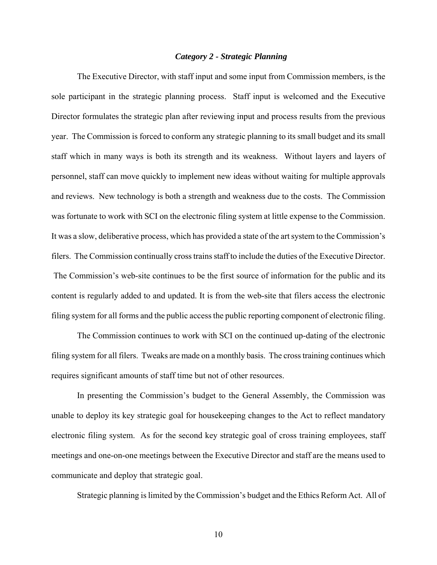### *Category 2 - Strategic Planning*

The Executive Director, with staff input and some input from Commission members, is the sole participant in the strategic planning process. Staff input is welcomed and the Executive Director formulates the strategic plan after reviewing input and process results from the previous year. The Commission is forced to conform any strategic planning to its small budget and its small staff which in many ways is both its strength and its weakness. Without layers and layers of personnel, staff can move quickly to implement new ideas without waiting for multiple approvals and reviews. New technology is both a strength and weakness due to the costs. The Commission was fortunate to work with SCI on the electronic filing system at little expense to the Commission. It was a slow, deliberative process, which has provided a state of the art system to the Commission's filers. The Commission continually cross trains staff to include the duties of the Executive Director. The Commission's web-site continues to be the first source of information for the public and its content is regularly added to and updated. It is from the web-site that filers access the electronic filing system for all forms and the public access the public reporting component of electronic filing.

The Commission continues to work with SCI on the continued up-dating of the electronic filing system for all filers. Tweaks are made on a monthly basis. The cross training continues which requires significant amounts of staff time but not of other resources.

In presenting the Commission's budget to the General Assembly, the Commission was unable to deploy its key strategic goal for housekeeping changes to the Act to reflect mandatory electronic filing system. As for the second key strategic goal of cross training employees, staff meetings and one-on-one meetings between the Executive Director and staff are the means used to communicate and deploy that strategic goal.

Strategic planning is limited by the Commission's budget and the Ethics Reform Act. All of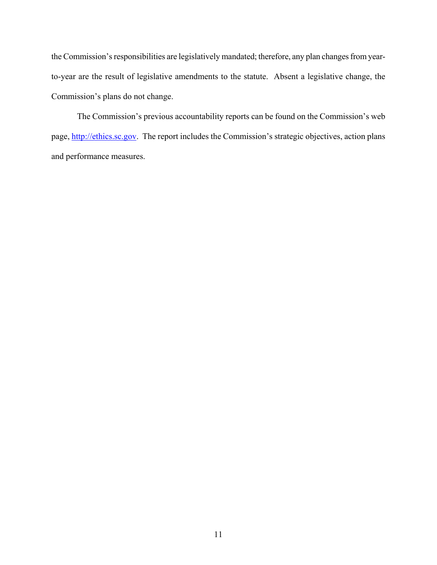the Commission's responsibilities are legislatively mandated; therefore, any plan changes from yearto-year are the result of legislative amendments to the statute. Absent a legislative change, the Commission's plans do not change.

The Commission's previous accountability reports can be found on the Commission's web page, http://ethics.sc.gov. The report includes the Commission's strategic objectives, action plans and performance measures.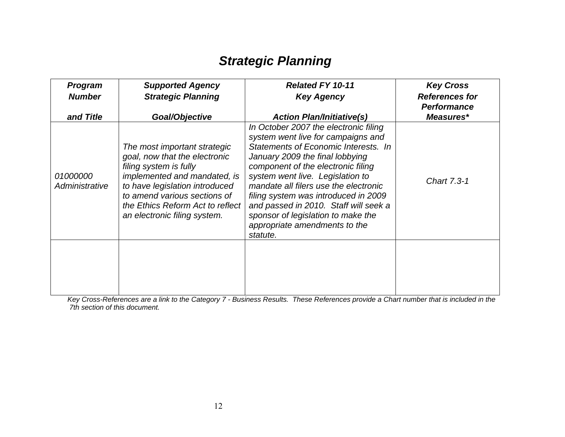# *Strategic Planning*

| <b>Program</b><br><b>Number</b><br>and Title | <b>Supported Agency</b><br><b>Strategic Planning</b><br>Goal/Objective                                                                                                                                                                                        | <b>Related FY 10-11</b><br><b>Key Agency</b><br><b>Action Plan/Initiative(s)</b>                                                                                                                                                                                                                                                                                                                                                              | <b>Key Cross</b><br><b>References for</b><br><b>Performance</b><br>Measures* |
|----------------------------------------------|---------------------------------------------------------------------------------------------------------------------------------------------------------------------------------------------------------------------------------------------------------------|-----------------------------------------------------------------------------------------------------------------------------------------------------------------------------------------------------------------------------------------------------------------------------------------------------------------------------------------------------------------------------------------------------------------------------------------------|------------------------------------------------------------------------------|
| 01000000<br>Administrative                   | The most important strategic<br>goal, now that the electronic<br>filing system is fully<br>implemented and mandated, is<br>to have legislation introduced<br>to amend various sections of<br>the Ethics Reform Act to reflect<br>an electronic filing system. | In October 2007 the electronic filing<br>system went live for campaigns and<br>Statements of Economic Interests. In<br>January 2009 the final lobbying<br>component of the electronic filing<br>system went live. Legislation to<br>mandate all filers use the electronic<br>filing system was introduced in 2009<br>and passed in 2010. Staff will seek a<br>sponsor of legislation to make the<br>appropriate amendments to the<br>statute. | Chart 7.3-1                                                                  |
|                                              |                                                                                                                                                                                                                                                               |                                                                                                                                                                                                                                                                                                                                                                                                                                               |                                                                              |

*Key Cross-References are a link to the Category 7 - Business Results. These References provide a Chart number that is included in the 7th section of this document.*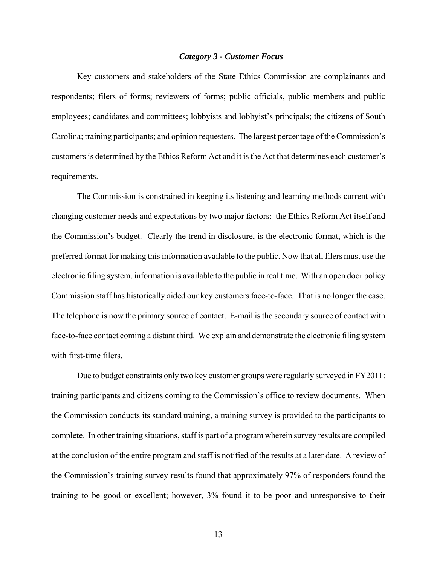#### *Category 3 - Customer Focus*

Key customers and stakeholders of the State Ethics Commission are complainants and respondents; filers of forms; reviewers of forms; public officials, public members and public employees; candidates and committees; lobbyists and lobbyist's principals; the citizens of South Carolina; training participants; and opinion requesters. The largest percentage of the Commission's customers is determined by the Ethics Reform Act and it is the Act that determines each customer's requirements.

The Commission is constrained in keeping its listening and learning methods current with changing customer needs and expectations by two major factors: the Ethics Reform Act itself and the Commission's budget. Clearly the trend in disclosure, is the electronic format, which is the preferred format for making this information available to the public. Now that all filers must use the electronic filing system, information is available to the public in real time. With an open door policy Commission staff has historically aided our key customers face-to-face. That is no longer the case. The telephone is now the primary source of contact. E-mail is the secondary source of contact with face-to-face contact coming a distant third. We explain and demonstrate the electronic filing system with first-time filers.

Due to budget constraints only two key customer groups were regularly surveyed in FY2011: training participants and citizens coming to the Commission's office to review documents. When the Commission conducts its standard training, a training survey is provided to the participants to complete. In other training situations, staff is part of a program wherein survey results are compiled at the conclusion of the entire program and staff is notified of the results at a later date. A review of the Commission's training survey results found that approximately 97% of responders found the training to be good or excellent; however, 3% found it to be poor and unresponsive to their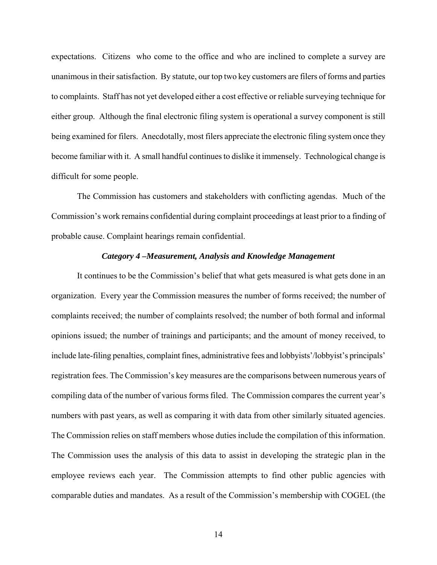expectations. Citizens who come to the office and who are inclined to complete a survey are unanimous in their satisfaction. By statute, our top two key customers are filers of forms and parties to complaints. Staff has not yet developed either a cost effective or reliable surveying technique for either group. Although the final electronic filing system is operational a survey component is still being examined for filers. Anecdotally, most filers appreciate the electronic filing system once they become familiar with it. A small handful continues to dislike it immensely. Technological change is difficult for some people.

The Commission has customers and stakeholders with conflicting agendas. Much of the Commission's work remains confidential during complaint proceedings at least prior to a finding of probable cause. Complaint hearings remain confidential.

#### *Category 4 –Measurement, Analysis and Knowledge Management*

It continues to be the Commission's belief that what gets measured is what gets done in an organization. Every year the Commission measures the number of forms received; the number of complaints received; the number of complaints resolved; the number of both formal and informal opinions issued; the number of trainings and participants; and the amount of money received, to include late-filing penalties, complaint fines, administrative fees and lobbyists'/lobbyist's principals' registration fees. The Commission's key measures are the comparisons between numerous years of compiling data of the number of various forms filed. The Commission compares the current year's numbers with past years, as well as comparing it with data from other similarly situated agencies. The Commission relies on staff members whose duties include the compilation of this information. The Commission uses the analysis of this data to assist in developing the strategic plan in the employee reviews each year. The Commission attempts to find other public agencies with comparable duties and mandates. As a result of the Commission's membership with COGEL (the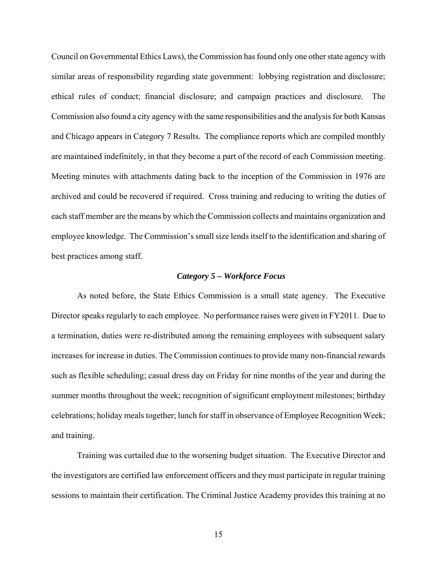Council on Governmental Ethics Laws), the Commission has found only one other state agency with similar areas of responsibility regarding state government: lobbying registration and disclosure; ethical rules of conduct; financial disclosure; and campaign practices and disclosure. The Commission also found a city agency with the same responsibilities and the analysis for both Kansas and Chicago appears in Category 7 Results. The compliance reports which are compiled monthly are maintained indefinitely, in that they become a part of the record of each Commission meeting. Meeting minutes with attachments dating back to the inception of the Commission in 1976 are archived and could be recovered if required. Cross training and reducing to writing the duties of each staff member are the means by which the Commission collects and maintains organization and employee knowledge. The Commission's small size lends itself to the identification and sharing of best practices among staff.

#### *Category 5 – Workforce Focus*

As noted before, the State Ethics Commission is a small state agency. The Executive Director speaks regularly to each employee. No performance raises were given in FY2011. Due to a termination, duties were re-distributed among the remaining employees with subsequent salary increases for increase in duties. The Commission continues to provide many non-financial rewards such as flexible scheduling; casual dress day on Friday for nine months of the year and during the summer months throughout the week; recognition of significant employment milestones; birthday celebrations; holiday meals together; lunch for staff in observance of Employee Recognition Week; and training.

Training was curtailed due to the worsening budget situation. The Executive Director and the investigators are certified law enforcement officers and they must participate in regular training sessions to maintain their certification. The Criminal Justice Academy provides this training at no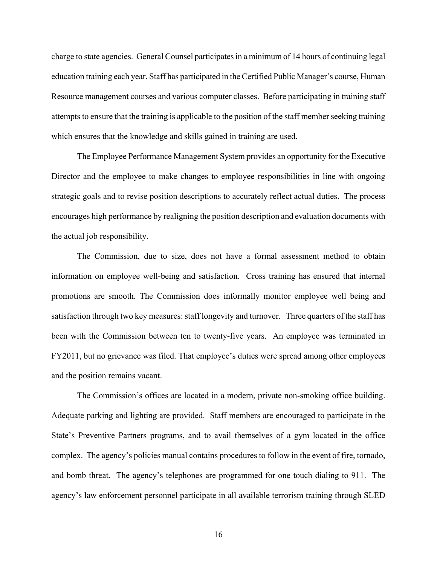charge to state agencies. General Counsel participates in a minimum of 14 hours of continuing legal education training each year. Staff has participated in the Certified Public Manager's course, Human Resource management courses and various computer classes. Before participating in training staff attempts to ensure that the training is applicable to the position of the staff member seeking training which ensures that the knowledge and skills gained in training are used.

The Employee Performance Management System provides an opportunity for the Executive Director and the employee to make changes to employee responsibilities in line with ongoing strategic goals and to revise position descriptions to accurately reflect actual duties. The process encourages high performance by realigning the position description and evaluation documents with the actual job responsibility.

The Commission, due to size, does not have a formal assessment method to obtain information on employee well-being and satisfaction. Cross training has ensured that internal promotions are smooth. The Commission does informally monitor employee well being and satisfaction through two key measures: staff longevity and turnover. Three quarters of the staff has been with the Commission between ten to twenty-five years. An employee was terminated in FY2011, but no grievance was filed. That employee's duties were spread among other employees and the position remains vacant.

The Commission's offices are located in a modern, private non-smoking office building. Adequate parking and lighting are provided. Staff members are encouraged to participate in the State's Preventive Partners programs, and to avail themselves of a gym located in the office complex. The agency's policies manual contains procedures to follow in the event of fire, tornado, and bomb threat. The agency's telephones are programmed for one touch dialing to 911. The agency's law enforcement personnel participate in all available terrorism training through SLED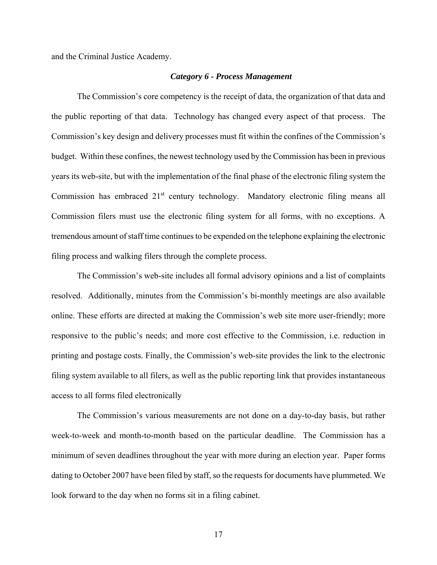and the Criminal Justice Academy.

#### *Category 6 - Process Management*

The Commission's core competency is the receipt of data, the organization of that data and the public reporting of that data. Technology has changed every aspect of that process. The Commission's key design and delivery processes must fit within the confines of the Commission's budget. Within these confines, the newest technology used by the Commission has been in previous years its web-site, but with the implementation of the final phase of the electronic filing system the Commission has embraced 21<sup>st</sup> century technology. Mandatory electronic filing means all Commission filers must use the electronic filing system for all forms, with no exceptions. A tremendous amount of staff time continues to be expended on the telephone explaining the electronic filing process and walking filers through the complete process.

The Commission's web-site includes all formal advisory opinions and a list of complaints resolved. Additionally, minutes from the Commission's bi-monthly meetings are also available online. These efforts are directed at making the Commission's web site more user-friendly; more responsive to the public's needs; and more cost effective to the Commission, i.e. reduction in printing and postage costs. Finally, the Commission's web-site provides the link to the electronic filing system available to all filers, as well as the public reporting link that provides instantaneous access to all forms filed electronically

The Commission's various measurements are not done on a day-to-day basis, but rather week-to-week and month-to-month based on the particular deadline. The Commission has a minimum of seven deadlines throughout the year with more during an election year. Paper forms dating to October 2007 have been filed by staff, so the requests for documents have plummeted. We look forward to the day when no forms sit in a filing cabinet.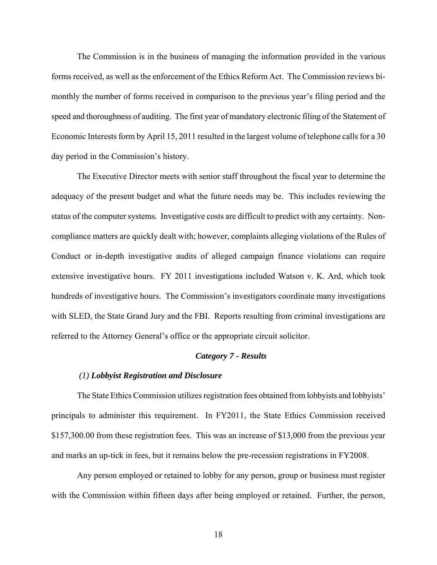The Commission is in the business of managing the information provided in the various forms received, as well as the enforcement of the Ethics Reform Act. The Commission reviews bimonthly the number of forms received in comparison to the previous year's filing period and the speed and thoroughness of auditing. The first year of mandatory electronic filing of the Statement of Economic Interests form by April 15, 2011 resulted in the largest volume of telephone calls for a 30 day period in the Commission's history.

The Executive Director meets with senior staff throughout the fiscal year to determine the adequacy of the present budget and what the future needs may be. This includes reviewing the status of the computer systems. Investigative costs are difficult to predict with any certainty. Noncompliance matters are quickly dealt with; however, complaints alleging violations of the Rules of Conduct or in-depth investigative audits of alleged campaign finance violations can require extensive investigative hours. FY 2011 investigations included Watson v. K. Ard, which took hundreds of investigative hours. The Commission's investigators coordinate many investigations with SLED, the State Grand Jury and the FBI. Reports resulting from criminal investigations are referred to the Attorney General's office or the appropriate circuit solicitor.

### *Category 7 - Results*

#### *(1) Lobbyist Registration and Disclosure*

The State Ethics Commission utilizes registration fees obtained from lobbyists and lobbyists' principals to administer this requirement. In FY2011, the State Ethics Commission received \$157,300.00 from these registration fees. This was an increase of \$13,000 from the previous year and marks an up-tick in fees, but it remains below the pre-recession registrations in FY2008.

Any person employed or retained to lobby for any person, group or business must register with the Commission within fifteen days after being employed or retained. Further, the person,

18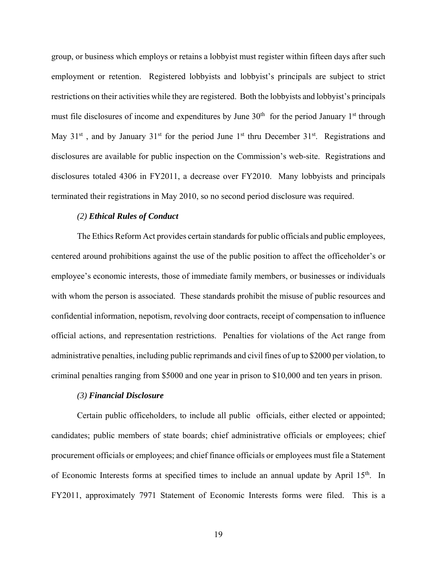group, or business which employs or retains a lobbyist must register within fifteen days after such employment or retention. Registered lobbyists and lobbyist's principals are subject to strict restrictions on their activities while they are registered. Both the lobbyists and lobbyist's principals must file disclosures of income and expenditures by June  $30<sup>th</sup>$  for the period January 1<sup>st</sup> through May  $31^{st}$ , and by January  $31^{st}$  for the period June  $1^{st}$  thru December  $31^{st}$ . Registrations and disclosures are available for public inspection on the Commission's web-site. Registrations and disclosures totaled 4306 in FY2011, a decrease over FY2010. Many lobbyists and principals terminated their registrations in May 2010, so no second period disclosure was required.

### *(2) Ethical Rules of Conduct*

The Ethics Reform Act provides certain standards for public officials and public employees, centered around prohibitions against the use of the public position to affect the officeholder's or employee's economic interests, those of immediate family members, or businesses or individuals with whom the person is associated. These standards prohibit the misuse of public resources and confidential information, nepotism, revolving door contracts, receipt of compensation to influence official actions, and representation restrictions. Penalties for violations of the Act range from administrative penalties, including public reprimands and civil fines of up to \$2000 per violation, to criminal penalties ranging from \$5000 and one year in prison to \$10,000 and ten years in prison.

#### *(3) Financial Disclosure*

Certain public officeholders, to include all public officials, either elected or appointed; candidates; public members of state boards; chief administrative officials or employees; chief procurement officials or employees; and chief finance officials or employees must file a Statement of Economic Interests forms at specified times to include an annual update by April 15<sup>th</sup>. In FY2011, approximately 7971 Statement of Economic Interests forms were filed. This is a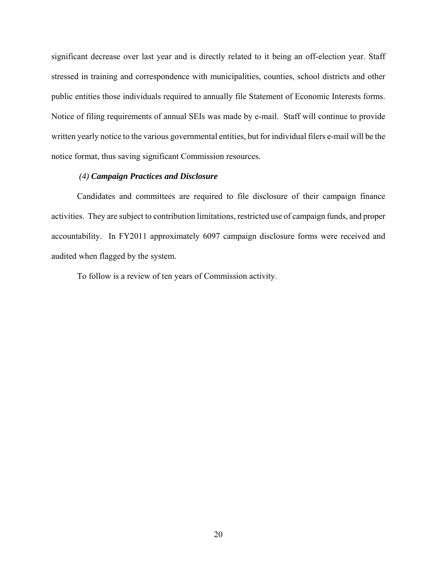significant decrease over last year and is directly related to it being an off-election year. Staff stressed in training and correspondence with municipalities, counties, school districts and other public entities those individuals required to annually file Statement of Economic Interests forms. Notice of filing requirements of annual SEIs was made by e-mail. Staff will continue to provide written yearly notice to the various governmental entities, but for individual filers e-mail will be the notice format, thus saving significant Commission resources.

# *(4) Campaign Practices and Disclosure*

Candidates and committees are required to file disclosure of their campaign finance activities. They are subject to contribution limitations, restricted use of campaign funds, and proper accountability. In FY2011 approximately 6097 campaign disclosure forms were received and audited when flagged by the system.

To follow is a review of ten years of Commission activity.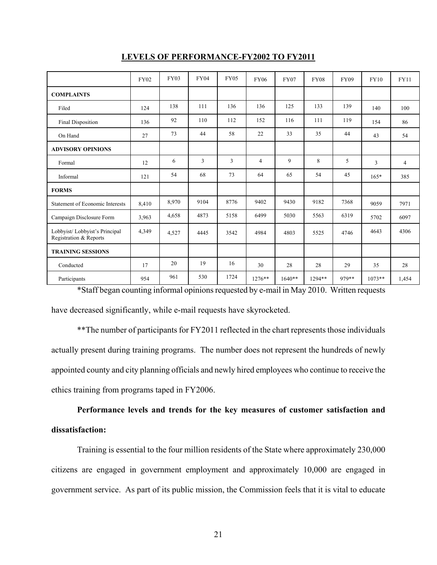|                                                          | <b>FY02</b> | <b>FY03</b> | <b>FY04</b> | <b>FY05</b> | <b>FY06</b>    | <b>FY07</b> | <b>FY08</b> | <b>FY09</b> | <b>FY10</b> | <b>FY11</b>    |
|----------------------------------------------------------|-------------|-------------|-------------|-------------|----------------|-------------|-------------|-------------|-------------|----------------|
| <b>COMPLAINTS</b>                                        |             |             |             |             |                |             |             |             |             |                |
| Filed                                                    | 124         | 138         | 111         | 136         | 136            | 125         | 133         | 139         | 140         | 100            |
| Final Disposition                                        | 136         | 92          | 110         | 112         | 152            | 116         | 111         | 119         | 154         | 86             |
| On Hand                                                  | 27          | 73          | 44          | 58          | 22             | 33          | 35          | 44          | 43          | 54             |
| <b>ADVISORY OPINIONS</b>                                 |             |             |             |             |                |             |             |             |             |                |
| Formal                                                   | 12          | 6           | 3           | 3           | $\overline{4}$ | 9           | 8           | 5           | 3           | $\overline{4}$ |
| Informal                                                 | 121         | 54          | 68          | 73          | 64             | 65          | 54          | 45          | $165*$      | 385            |
| <b>FORMS</b>                                             |             |             |             |             |                |             |             |             |             |                |
| <b>Statement of Economic Interests</b>                   | 8,410       | 8,970       | 9104        | 8776        | 9402           | 9430        | 9182        | 7368        | 9059        | 7971           |
| Campaign Disclosure Form                                 | 3,963       | 4,658       | 4873        | 5158        | 6499           | 5030        | 5563        | 6319        | 5702        | 6097           |
| Lobbyist/ Lobbyist's Principal<br>Registration & Reports | 4,349       | 4,527       | 4445        | 3542        | 4984           | 4803        | 5525        | 4746        | 4643        | 4306           |
| <b>TRAINING SESSIONS</b>                                 |             |             |             |             |                |             |             |             |             |                |
| Conducted                                                | 17          | 20          | 19          | 16          | 30             | 28          | 28          | 29          | 35          | 28             |
| Participants                                             | 954         | 961         | 530         | 1724        | $1276**$       | $1640**$    | 1294**      | 979**       | $1073**$    | 1,454          |

### **LEVELS OF PERFORMANCE-FY2002 TO FY2011**

\*Staff began counting informal opinions requested by e-mail in May 2010. Written requests have decreased significantly, while e-mail requests have skyrocketed.

\*\*The number of participants for FY2011 reflected in the chart represents those individuals actually present during training programs. The number does not represent the hundreds of newly appointed county and city planning officials and newly hired employees who continue to receive the ethics training from programs taped in FY2006.

**Performance levels and trends for the key measures of customer satisfaction and dissatisfaction:** 

Training is essential to the four million residents of the State where approximately 230,000 citizens are engaged in government employment and approximately 10,000 are engaged in government service. As part of its public mission, the Commission feels that it is vital to educate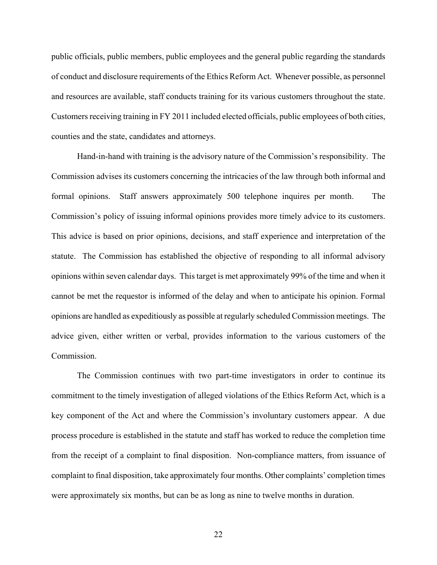public officials, public members, public employees and the general public regarding the standards of conduct and disclosure requirements of the Ethics Reform Act. Whenever possible, as personnel and resources are available, staff conducts training for its various customers throughout the state. Customers receiving training in FY 2011 included elected officials, public employees of both cities, counties and the state, candidates and attorneys.

Hand-in-hand with training is the advisory nature of the Commission's responsibility. The Commission advises its customers concerning the intricacies of the law through both informal and formal opinions. Staff answers approximately 500 telephone inquires per month. The Commission's policy of issuing informal opinions provides more timely advice to its customers. This advice is based on prior opinions, decisions, and staff experience and interpretation of the statute. The Commission has established the objective of responding to all informal advisory opinions within seven calendar days. This target is met approximately 99% of the time and when it cannot be met the requestor is informed of the delay and when to anticipate his opinion. Formal opinions are handled as expeditiously as possible at regularly scheduled Commission meetings. The advice given, either written or verbal, provides information to the various customers of the Commission.

The Commission continues with two part-time investigators in order to continue its commitment to the timely investigation of alleged violations of the Ethics Reform Act, which is a key component of the Act and where the Commission's involuntary customers appear. A due process procedure is established in the statute and staff has worked to reduce the completion time from the receipt of a complaint to final disposition. Non-compliance matters, from issuance of complaint to final disposition, take approximately four months. Other complaints' completion times were approximately six months, but can be as long as nine to twelve months in duration.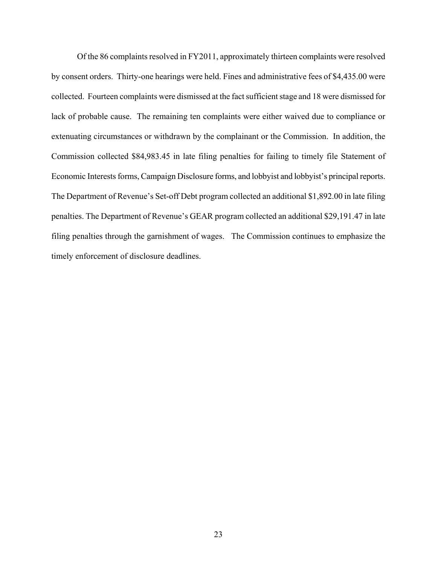Of the 86 complaints resolved in FY2011, approximately thirteen complaints were resolved by consent orders.Thirty-one hearings were held. Fines and administrative fees of \$4,435.00 were collected.Fourteen complaints were dismissed at the fact sufficient stage and 18 were dismissed for lack of probable cause.The remaining ten complaints were either waived due to compliance or extenuating circumstances or withdrawn by the complainant or the Commission.In addition, the Commission collected \$84,983.45 in late filing penalties for failing to timely file Statement of Economic Interests forms, Campaign Disclosure forms, and lobbyist and lobbyist's principal reports. The Department of Revenue's Set-off Debt program collected an additional \$1,892.00 in late filing penalties. The Department of Revenue's GEAR program collected an additional \$29,191.47 in late filing penalties through the garnishment of wages. The Commission continues to emphasize the timely enforcement of disclosure deadlines.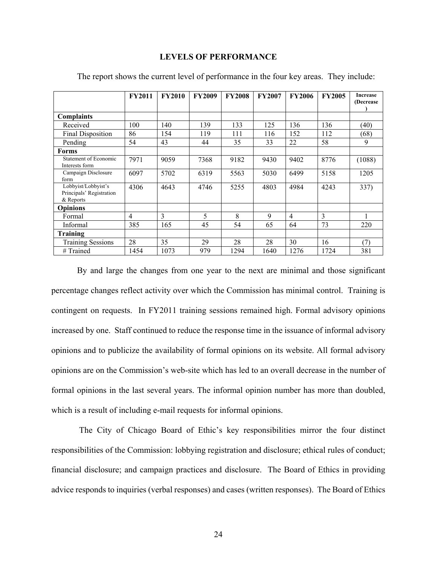#### **FY2011 FY2010 FY2009 FY2008 FY2007 FY2006 FY2005 Increase (Decrease ) Complaints**  Received 100 140 139 133 125 136 136 (40) Final Disposition  $86$  154 119 111 116 152 112 (68) Pending 54 43 44 35 33 22 58 9 **Forms**  Statement of Economic Statement of Economic 7971 9059 7368 9182 9430 9402 8776 (1088) Campaign Disclosure form 6097 | 5702 | 6319 | 5563 | 5030 | 6499 | 5158 | 1205 Lobbyist/Lobbyist's Principals' Registration & Reports 4306 | 4643 | 4746 | 5255 | 4803 | 4984 | 4243 | 337) **Opinions**  Formal 4 3 5 8 9 4 3 1 Informal 1385 165 45 54 65 64 73 220 **Training**  Training Sessions 28 35 29 28 28 30 16 (7) # Trained 1454 1073 979 1294 1640 1276 1724 381

# **LEVELS OF PERFORMANCE**

The report shows the current level of performance in the four key areas. They include:

By and large the changes from one year to the next are minimal and those significant percentage changes reflect activity over which the Commission has minimal control. Training is contingent on requests. In FY2011 training sessions remained high. Formal advisory opinions increased by one. Staff continued to reduce the response time in the issuance of informal advisory opinions and to publicize the availability of formal opinions on its website. All formal advisory opinions are on the Commission's web-site which has led to an overall decrease in the number of formal opinions in the last several years. The informal opinion number has more than doubled, which is a result of including e-mail requests for informal opinions.

 The City of Chicago Board of Ethic's key responsibilities mirror the four distinct responsibilities of the Commission: lobbying registration and disclosure; ethical rules of conduct; financial disclosure; and campaign practices and disclosure.The Board of Ethics in providing advice responds to inquiries (verbal responses) and cases (written responses).The Board of Ethics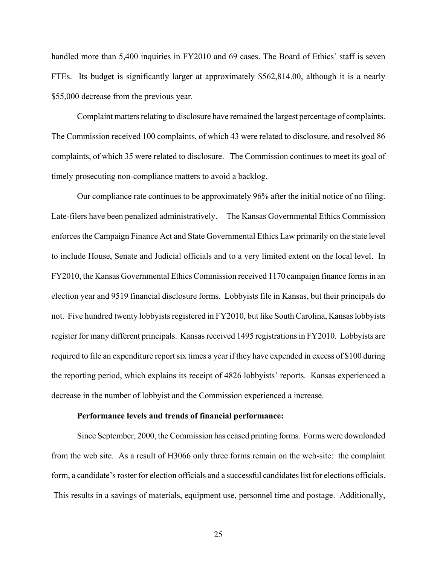handled more than 5,400 inquiries in FY2010 and 69 cases. The Board of Ethics' staff is seven FTEs. Its budget is significantly larger at approximately \$562,814.00, although it is a nearly \$55,000 decrease from the previous year.

Complaint matters relating to disclosure have remained the largest percentage of complaints. The Commission received 100 complaints, of which 43 were related to disclosure, and resolved 86 complaints, of which 35 were related to disclosure. The Commission continues to meet its goal of timely prosecuting non-compliance matters to avoid a backlog.

Our compliance rate continues to be approximately 96% after the initial notice of no filing. Late-filers have been penalized administratively. The Kansas Governmental Ethics Commission enforces the Campaign Finance Act and State Governmental Ethics Law primarily on the state level to include House, Senate and Judicial officials and to a very limited extent on the local level. In FY2010, the Kansas Governmental Ethics Commission received 1170 campaign finance forms in an election year and 9519 financial disclosure forms. Lobbyists file in Kansas, but their principals do not. Five hundred twenty lobbyists registered in FY2010, but like South Carolina, Kansas lobbyists register for many different principals. Kansas received 1495 registrations in FY2010. Lobbyists are required to file an expenditure report six times a year if they have expended in excess of \$100 during the reporting period, which explains its receipt of 4826 lobbyists' reports. Kansas experienced a decrease in the number of lobbyist and the Commission experienced a increase.

#### **Performance levels and trends of financial performance:**

Since September, 2000, the Commission has ceased printing forms. Forms were downloaded from the web site. As a result of H3066 only three forms remain on the web-site: the complaint form, a candidate's roster for election officials and a successful candidates list for elections officials. This results in a savings of materials, equipment use, personnel time and postage. Additionally,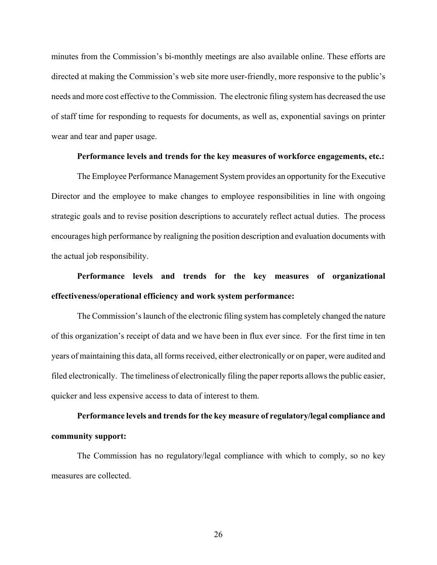minutes from the Commission's bi-monthly meetings are also available online. These efforts are directed at making the Commission's web site more user-friendly, more responsive to the public's needs and more cost effective to the Commission. The electronic filing system has decreased the use of staff time for responding to requests for documents, as well as, exponential savings on printer wear and tear and paper usage.

#### **Performance levels and trends for the key measures of workforce engagements, etc.:**

The Employee Performance Management System provides an opportunity for the Executive Director and the employee to make changes to employee responsibilities in line with ongoing strategic goals and to revise position descriptions to accurately reflect actual duties. The process encourages high performance by realigning the position description and evaluation documents with the actual job responsibility.

# **Performance levels and trends for the key measures of organizational effectiveness/operational efficiency and work system performance:**

The Commission's launch of the electronic filing system has completely changed the nature of this organization's receipt of data and we have been in flux ever since. For the first time in ten years of maintaining this data, all forms received, either electronically or on paper, were audited and filed electronically. The timeliness of electronically filing the paper reports allows the public easier, quicker and less expensive access to data of interest to them.

# **Performance levels and trends for the key measure of regulatory/legal compliance and community support:**

The Commission has no regulatory/legal compliance with which to comply, so no key measures are collected.